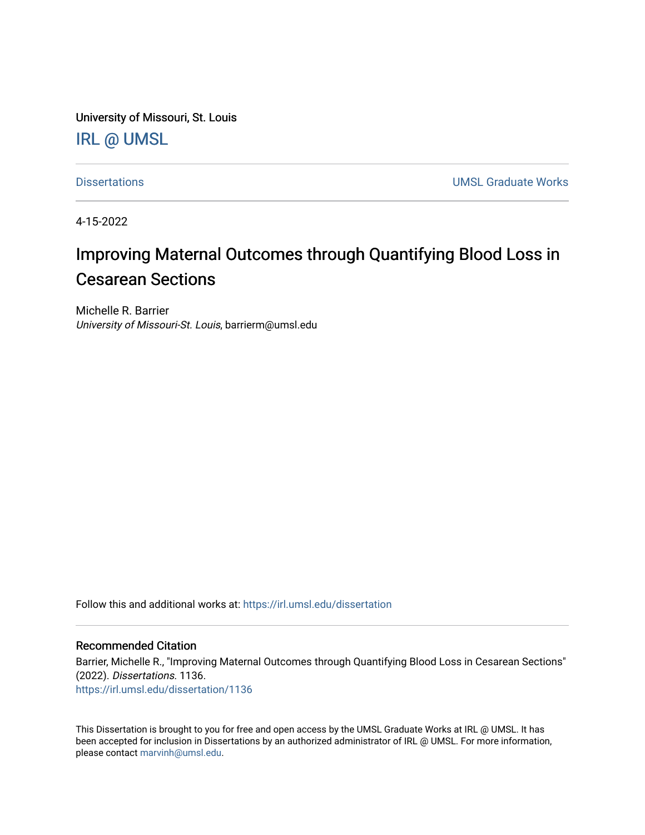University of Missouri, St. Louis [IRL @ UMSL](https://irl.umsl.edu/) 

[Dissertations](https://irl.umsl.edu/dissertation) [UMSL Graduate Works](https://irl.umsl.edu/grad) 

4-15-2022

# Improving Maternal Outcomes through Quantifying Blood Loss in Cesarean Sections

Michelle R. Barrier University of Missouri-St. Louis, barrierm@umsl.edu

Follow this and additional works at: [https://irl.umsl.edu/dissertation](https://irl.umsl.edu/dissertation?utm_source=irl.umsl.edu%2Fdissertation%2F1136&utm_medium=PDF&utm_campaign=PDFCoverPages)

#### Recommended Citation

Barrier, Michelle R., "Improving Maternal Outcomes through Quantifying Blood Loss in Cesarean Sections" (2022). Dissertations. 1136. [https://irl.umsl.edu/dissertation/1136](https://irl.umsl.edu/dissertation/1136?utm_source=irl.umsl.edu%2Fdissertation%2F1136&utm_medium=PDF&utm_campaign=PDFCoverPages) 

This Dissertation is brought to you for free and open access by the UMSL Graduate Works at IRL @ UMSL. It has been accepted for inclusion in Dissertations by an authorized administrator of IRL @ UMSL. For more information, please contact [marvinh@umsl.edu](mailto:marvinh@umsl.edu).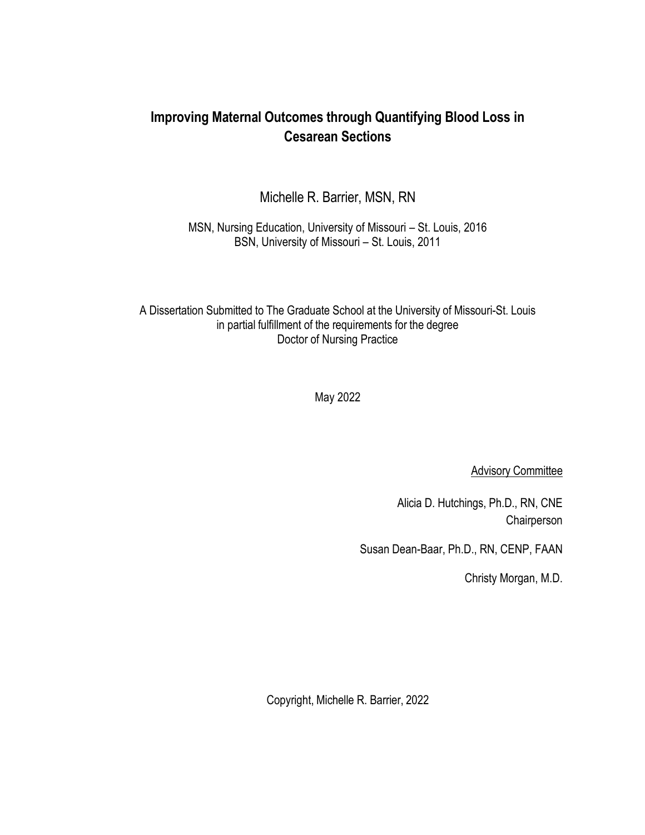## **Improving Maternal Outcomes through Quantifying Blood Loss in Cesarean Sections**

Michelle R. Barrier, MSN, RN

MSN, Nursing Education, University of Missouri – St. Louis, 2016 BSN, University of Missouri – St. Louis, 2011

A Dissertation Submitted to The Graduate School at the University of Missouri-St. Louis in partial fulfillment of the requirements for the degree Doctor of Nursing Practice

May 2022

**Advisory Committee** 

Alicia D. Hutchings, Ph.D., RN, CNE Chairperson

Susan Dean-Baar, Ph.D., RN, CENP, FAAN

Christy Morgan, M.D.

Copyright, Michelle R. Barrier, 2022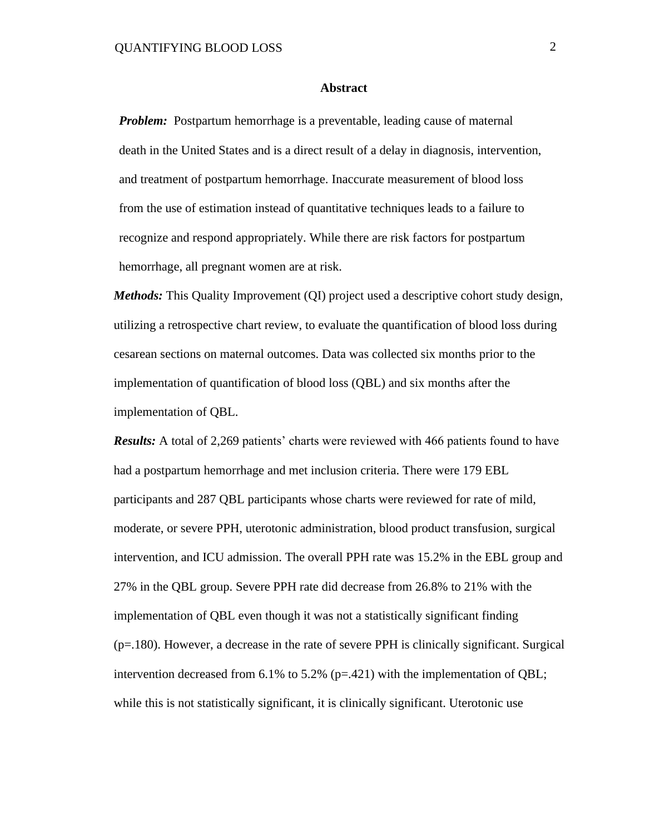#### **Abstract**

*Problem:* Postpartum hemorrhage is a preventable, leading cause of maternal death in the United States and is a direct result of a delay in diagnosis, intervention, and treatment of postpartum hemorrhage. Inaccurate measurement of blood loss from the use of estimation instead of quantitative techniques leads to a failure to recognize and respond appropriately. While there are risk factors for postpartum hemorrhage, all pregnant women are at risk.

*Methods:* This Quality Improvement (QI) project used a descriptive cohort study design, utilizing a retrospective chart review, to evaluate the quantification of blood loss during cesarean sections on maternal outcomes. Data was collected six months prior to the implementation of quantification of blood loss (QBL) and six months after the implementation of QBL.

*Results:* A total of 2,269 patients' charts were reviewed with 466 patients found to have had a postpartum hemorrhage and met inclusion criteria. There were 179 EBL participants and 287 QBL participants whose charts were reviewed for rate of mild, moderate, or severe PPH, uterotonic administration, blood product transfusion, surgical intervention, and ICU admission. The overall PPH rate was 15.2% in the EBL group and 27% in the QBL group. Severe PPH rate did decrease from 26.8% to 21% with the implementation of QBL even though it was not a statistically significant finding (p=.180). However, a decrease in the rate of severe PPH is clinically significant. Surgical intervention decreased from 6.1% to 5.2% ( $p=.421$ ) with the implementation of QBL; while this is not statistically significant, it is clinically significant. Uterotonic use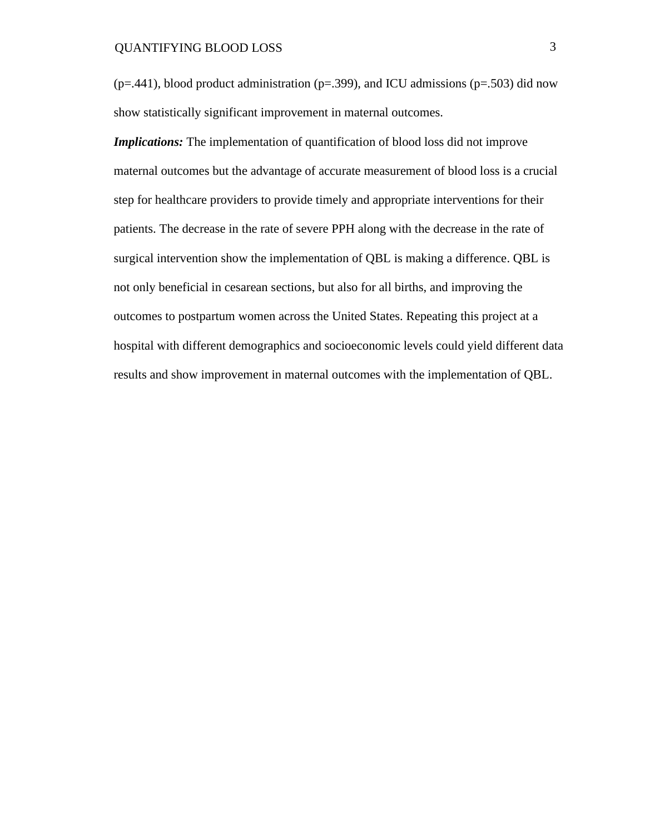$(p=0.441)$ , blood product administration  $(p=0.399)$ , and ICU admissions  $(p=0.503)$  did now show statistically significant improvement in maternal outcomes.

*Implications:* The implementation of quantification of blood loss did not improve maternal outcomes but the advantage of accurate measurement of blood loss is a crucial step for healthcare providers to provide timely and appropriate interventions for their patients. The decrease in the rate of severe PPH along with the decrease in the rate of surgical intervention show the implementation of QBL is making a difference. QBL is not only beneficial in cesarean sections, but also for all births, and improving the outcomes to postpartum women across the United States. Repeating this project at a hospital with different demographics and socioeconomic levels could yield different data results and show improvement in maternal outcomes with the implementation of QBL.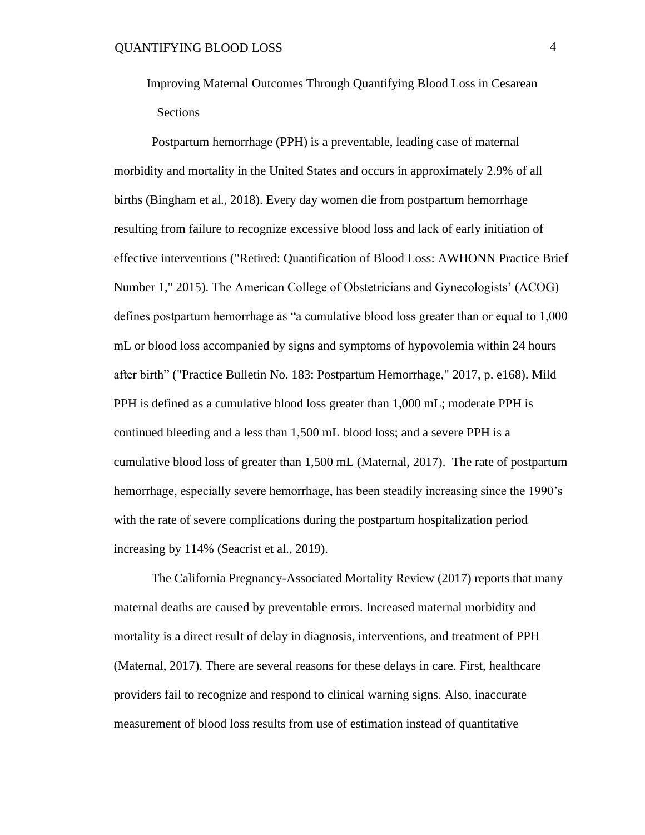Improving Maternal Outcomes Through Quantifying Blood Loss in Cesarean Sections

Postpartum hemorrhage (PPH) is a preventable, leading case of maternal morbidity and mortality in the United States and occurs in approximately 2.9% of all births (Bingham et al., 2018). Every day women die from postpartum hemorrhage resulting from failure to recognize excessive blood loss and lack of early initiation of effective interventions ("Retired: Quantification of Blood Loss: AWHONN Practice Brief Number 1," 2015). The American College of Obstetricians and Gynecologists' (ACOG) defines postpartum hemorrhage as "a cumulative blood loss greater than or equal to 1,000 mL or blood loss accompanied by signs and symptoms of hypovolemia within 24 hours after birth" ("Practice Bulletin No. 183: Postpartum Hemorrhage," 2017, p. e168). Mild PPH is defined as a cumulative blood loss greater than 1,000 mL; moderate PPH is continued bleeding and a less than 1,500 mL blood loss; and a severe PPH is a cumulative blood loss of greater than 1,500 mL (Maternal, 2017). The rate of postpartum hemorrhage, especially severe hemorrhage, has been steadily increasing since the 1990's with the rate of severe complications during the postpartum hospitalization period increasing by 114% (Seacrist et al., 2019).

The California Pregnancy-Associated Mortality Review (2017) reports that many maternal deaths are caused by preventable errors. Increased maternal morbidity and mortality is a direct result of delay in diagnosis, interventions, and treatment of PPH (Maternal, 2017). There are several reasons for these delays in care. First, healthcare providers fail to recognize and respond to clinical warning signs. Also, inaccurate measurement of blood loss results from use of estimation instead of quantitative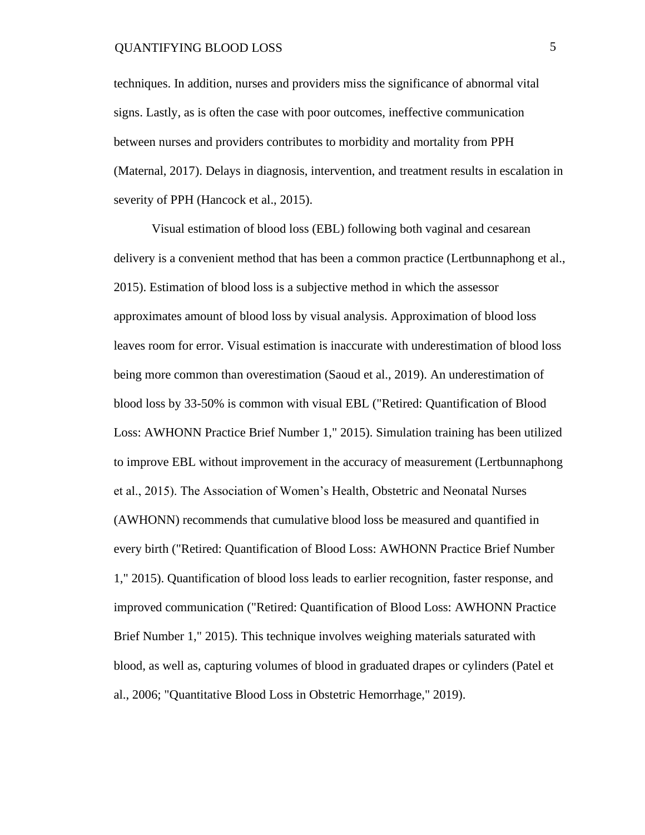techniques. In addition, nurses and providers miss the significance of abnormal vital signs. Lastly, as is often the case with poor outcomes, ineffective communication between nurses and providers contributes to morbidity and mortality from PPH (Maternal, 2017). Delays in diagnosis, intervention, and treatment results in escalation in severity of PPH (Hancock et al., 2015).

Visual estimation of blood loss (EBL) following both vaginal and cesarean delivery is a convenient method that has been a common practice (Lertbunnaphong et al., 2015). Estimation of blood loss is a subjective method in which the assessor approximates amount of blood loss by visual analysis. Approximation of blood loss leaves room for error. Visual estimation is inaccurate with underestimation of blood loss being more common than overestimation (Saoud et al., 2019). An underestimation of blood loss by 33-50% is common with visual EBL ("Retired: Quantification of Blood Loss: AWHONN Practice Brief Number 1," 2015). Simulation training has been utilized to improve EBL without improvement in the accuracy of measurement (Lertbunnaphong et al., 2015). The Association of Women's Health, Obstetric and Neonatal Nurses (AWHONN) recommends that cumulative blood loss be measured and quantified in every birth ("Retired: Quantification of Blood Loss: AWHONN Practice Brief Number 1," 2015). Quantification of blood loss leads to earlier recognition, faster response, and improved communication ("Retired: Quantification of Blood Loss: AWHONN Practice Brief Number 1," 2015). This technique involves weighing materials saturated with blood, as well as, capturing volumes of blood in graduated drapes or cylinders (Patel et al., 2006; "Quantitative Blood Loss in Obstetric Hemorrhage," 2019).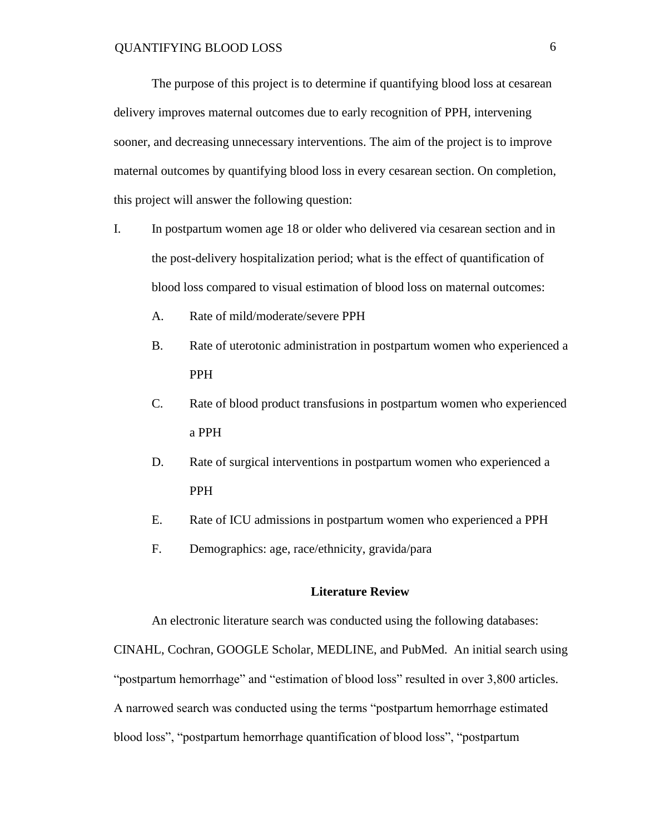The purpose of this project is to determine if quantifying blood loss at cesarean delivery improves maternal outcomes due to early recognition of PPH, intervening sooner, and decreasing unnecessary interventions. The aim of the project is to improve maternal outcomes by quantifying blood loss in every cesarean section. On completion, this project will answer the following question:

- I. In postpartum women age 18 or older who delivered via cesarean section and in the post-delivery hospitalization period; what is the effect of quantification of blood loss compared to visual estimation of blood loss on maternal outcomes:
	- A. Rate of mild/moderate/severe PPH
	- B. Rate of uterotonic administration in postpartum women who experienced a PPH
	- C. Rate of blood product transfusions in postpartum women who experienced a PPH
	- D. Rate of surgical interventions in postpartum women who experienced a PPH
	- E. Rate of ICU admissions in postpartum women who experienced a PPH
	- F. Demographics: age, race/ethnicity, gravida/para

#### **Literature Review**

An electronic literature search was conducted using the following databases:

CINAHL, Cochran, GOOGLE Scholar, MEDLINE, and PubMed. An initial search using "postpartum hemorrhage" and "estimation of blood loss" resulted in over 3,800 articles. A narrowed search was conducted using the terms "postpartum hemorrhage estimated blood loss", "postpartum hemorrhage quantification of blood loss", "postpartum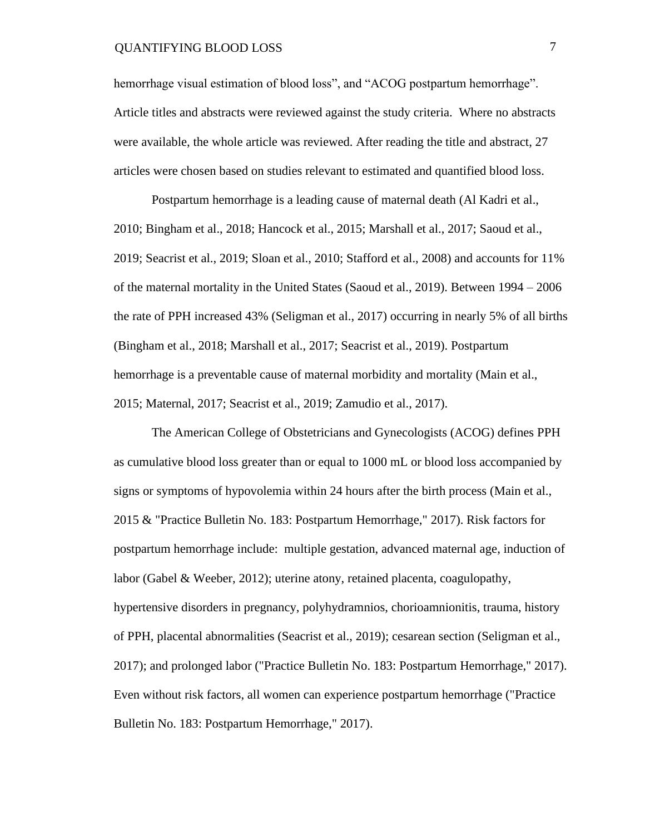hemorrhage visual estimation of blood loss", and "ACOG postpartum hemorrhage". Article titles and abstracts were reviewed against the study criteria. Where no abstracts were available, the whole article was reviewed. After reading the title and abstract, 27 articles were chosen based on studies relevant to estimated and quantified blood loss.

Postpartum hemorrhage is a leading cause of maternal death (Al Kadri et al., 2010; Bingham et al., 2018; Hancock et al., 2015; Marshall et al., 2017; Saoud et al., 2019; Seacrist et al., 2019; Sloan et al., 2010; Stafford et al., 2008) and accounts for 11% of the maternal mortality in the United States (Saoud et al., 2019). Between 1994 – 2006 the rate of PPH increased 43% (Seligman et al., 2017) occurring in nearly 5% of all births (Bingham et al., 2018; Marshall et al., 2017; Seacrist et al., 2019). Postpartum hemorrhage is a preventable cause of maternal morbidity and mortality (Main et al., 2015; Maternal, 2017; Seacrist et al., 2019; Zamudio et al., 2017).

The American College of Obstetricians and Gynecologists (ACOG) defines PPH as cumulative blood loss greater than or equal to 1000 mL or blood loss accompanied by signs or symptoms of hypovolemia within 24 hours after the birth process (Main et al., 2015 & "Practice Bulletin No. 183: Postpartum Hemorrhage," 2017). Risk factors for postpartum hemorrhage include: multiple gestation, advanced maternal age, induction of labor (Gabel & Weeber, 2012); uterine atony, retained placenta, coagulopathy, hypertensive disorders in pregnancy, polyhydramnios, chorioamnionitis, trauma, history of PPH, placental abnormalities (Seacrist et al., 2019); cesarean section (Seligman et al., 2017); and prolonged labor ("Practice Bulletin No. 183: Postpartum Hemorrhage," 2017). Even without risk factors, all women can experience postpartum hemorrhage ("Practice Bulletin No. 183: Postpartum Hemorrhage," 2017).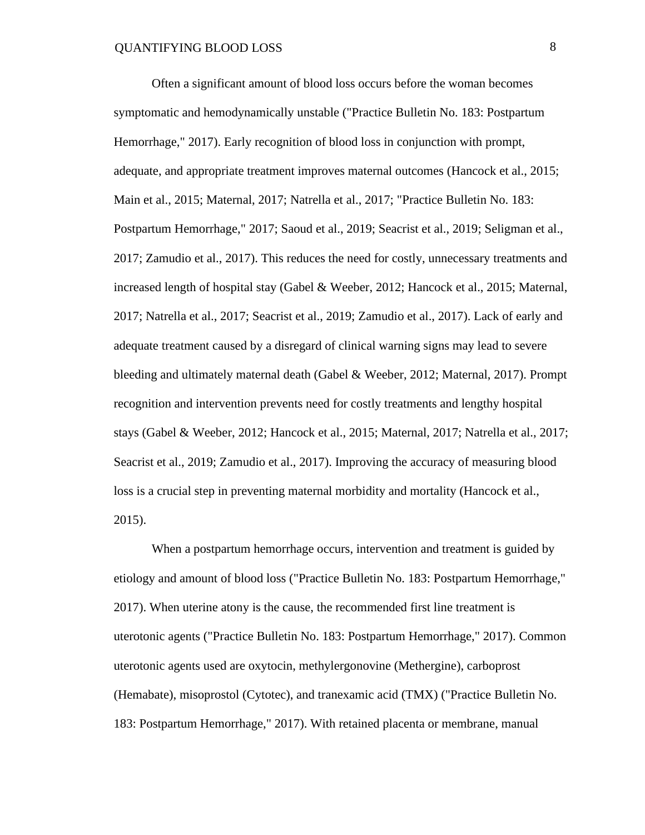Often a significant amount of blood loss occurs before the woman becomes symptomatic and hemodynamically unstable ("Practice Bulletin No. 183: Postpartum Hemorrhage," 2017). Early recognition of blood loss in conjunction with prompt, adequate, and appropriate treatment improves maternal outcomes (Hancock et al., 2015; Main et al., 2015; Maternal, 2017; Natrella et al., 2017; "Practice Bulletin No. 183: Postpartum Hemorrhage," 2017; Saoud et al., 2019; Seacrist et al., 2019; Seligman et al., 2017; Zamudio et al., 2017). This reduces the need for costly, unnecessary treatments and increased length of hospital stay (Gabel & Weeber, 2012; Hancock et al., 2015; Maternal, 2017; Natrella et al., 2017; Seacrist et al., 2019; Zamudio et al., 2017). Lack of early and adequate treatment caused by a disregard of clinical warning signs may lead to severe bleeding and ultimately maternal death (Gabel & Weeber, 2012; Maternal, 2017). Prompt recognition and intervention prevents need for costly treatments and lengthy hospital stays (Gabel & Weeber, 2012; Hancock et al., 2015; Maternal, 2017; Natrella et al., 2017; Seacrist et al., 2019; Zamudio et al., 2017). Improving the accuracy of measuring blood loss is a crucial step in preventing maternal morbidity and mortality (Hancock et al., 2015).

When a postpartum hemorrhage occurs, intervention and treatment is guided by etiology and amount of blood loss ("Practice Bulletin No. 183: Postpartum Hemorrhage," 2017). When uterine atony is the cause, the recommended first line treatment is uterotonic agents ("Practice Bulletin No. 183: Postpartum Hemorrhage," 2017). Common uterotonic agents used are oxytocin, methylergonovine (Methergine), carboprost (Hemabate), misoprostol (Cytotec), and tranexamic acid (TMX) ("Practice Bulletin No. 183: Postpartum Hemorrhage," 2017). With retained placenta or membrane, manual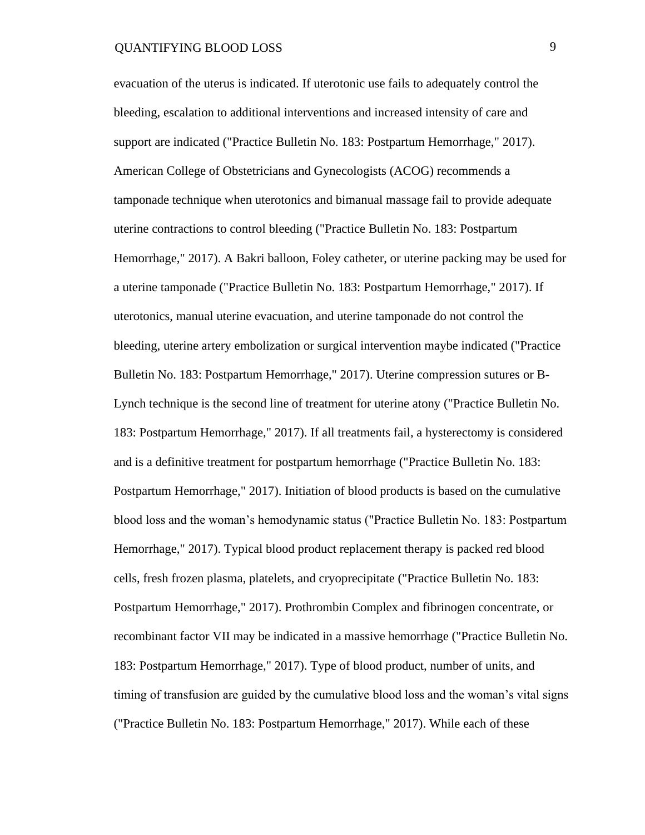evacuation of the uterus is indicated. If uterotonic use fails to adequately control the bleeding, escalation to additional interventions and increased intensity of care and support are indicated ("Practice Bulletin No. 183: Postpartum Hemorrhage," 2017). American College of Obstetricians and Gynecologists (ACOG) recommends a tamponade technique when uterotonics and bimanual massage fail to provide adequate uterine contractions to control bleeding ("Practice Bulletin No. 183: Postpartum Hemorrhage," 2017). A Bakri balloon, Foley catheter, or uterine packing may be used for a uterine tamponade ("Practice Bulletin No. 183: Postpartum Hemorrhage," 2017). If uterotonics, manual uterine evacuation, and uterine tamponade do not control the bleeding, uterine artery embolization or surgical intervention maybe indicated ("Practice Bulletin No. 183: Postpartum Hemorrhage," 2017). Uterine compression sutures or B-Lynch technique is the second line of treatment for uterine atony ("Practice Bulletin No. 183: Postpartum Hemorrhage," 2017). If all treatments fail, a hysterectomy is considered and is a definitive treatment for postpartum hemorrhage ("Practice Bulletin No. 183: Postpartum Hemorrhage," 2017). Initiation of blood products is based on the cumulative blood loss and the woman's hemodynamic status ("Practice Bulletin No. 183: Postpartum Hemorrhage," 2017). Typical blood product replacement therapy is packed red blood cells, fresh frozen plasma, platelets, and cryoprecipitate ("Practice Bulletin No. 183: Postpartum Hemorrhage," 2017). Prothrombin Complex and fibrinogen concentrate, or recombinant factor VII may be indicated in a massive hemorrhage ("Practice Bulletin No. 183: Postpartum Hemorrhage," 2017). Type of blood product, number of units, and timing of transfusion are guided by the cumulative blood loss and the woman's vital signs ("Practice Bulletin No. 183: Postpartum Hemorrhage," 2017). While each of these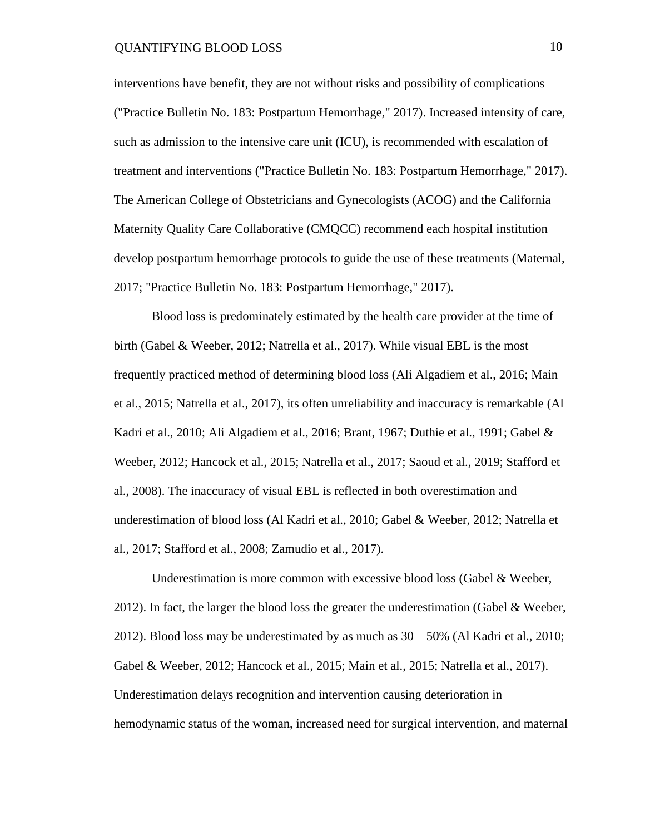interventions have benefit, they are not without risks and possibility of complications ("Practice Bulletin No. 183: Postpartum Hemorrhage," 2017). Increased intensity of care, such as admission to the intensive care unit (ICU), is recommended with escalation of treatment and interventions ("Practice Bulletin No. 183: Postpartum Hemorrhage," 2017). The American College of Obstetricians and Gynecologists (ACOG) and the California Maternity Quality Care Collaborative (CMQCC) recommend each hospital institution develop postpartum hemorrhage protocols to guide the use of these treatments (Maternal, 2017; "Practice Bulletin No. 183: Postpartum Hemorrhage," 2017).

Blood loss is predominately estimated by the health care provider at the time of birth (Gabel & Weeber, 2012; Natrella et al., 2017). While visual EBL is the most frequently practiced method of determining blood loss (Ali Algadiem et al., 2016; Main et al., 2015; Natrella et al., 2017), its often unreliability and inaccuracy is remarkable (Al Kadri et al., 2010; Ali Algadiem et al., 2016; Brant, 1967; Duthie et al., 1991; Gabel & Weeber, 2012; Hancock et al., 2015; Natrella et al., 2017; Saoud et al., 2019; Stafford et al., 2008). The inaccuracy of visual EBL is reflected in both overestimation and underestimation of blood loss (Al Kadri et al., 2010; Gabel & Weeber, 2012; Natrella et al., 2017; Stafford et al., 2008; Zamudio et al., 2017).

Underestimation is more common with excessive blood loss (Gabel & Weeber, 2012). In fact, the larger the blood loss the greater the underestimation (Gabel & Weeber, 2012). Blood loss may be underestimated by as much as  $30 - 50\%$  (Al Kadri et al., 2010; Gabel & Weeber, 2012; Hancock et al., 2015; Main et al., 2015; Natrella et al., 2017). Underestimation delays recognition and intervention causing deterioration in hemodynamic status of the woman, increased need for surgical intervention, and maternal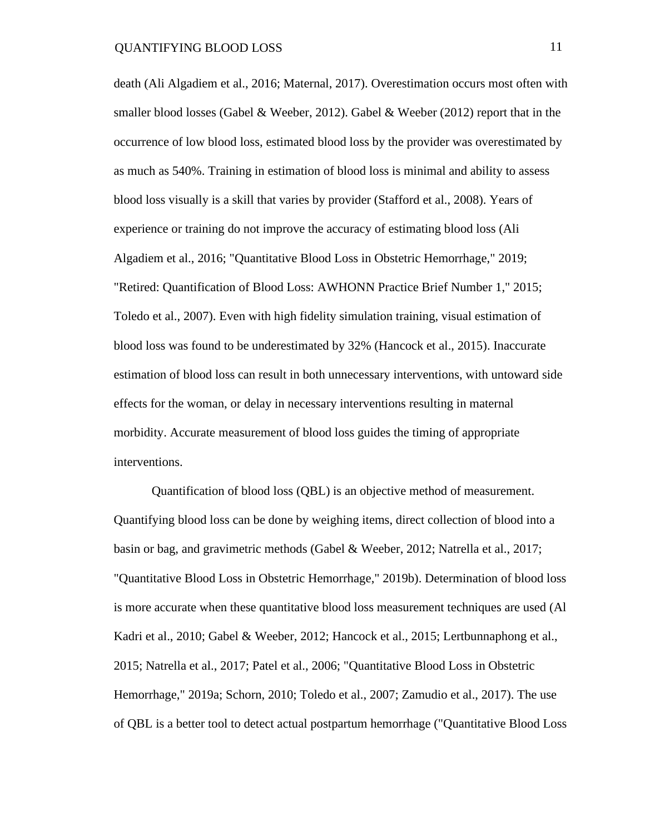death (Ali Algadiem et al., 2016; Maternal, 2017). Overestimation occurs most often with smaller blood losses (Gabel & Weeber, 2012). Gabel & Weeber (2012) report that in the occurrence of low blood loss, estimated blood loss by the provider was overestimated by as much as 540%. Training in estimation of blood loss is minimal and ability to assess blood loss visually is a skill that varies by provider (Stafford et al., 2008). Years of experience or training do not improve the accuracy of estimating blood loss (Ali Algadiem et al., 2016; "Quantitative Blood Loss in Obstetric Hemorrhage," 2019; "Retired: Quantification of Blood Loss: AWHONN Practice Brief Number 1," 2015; Toledo et al., 2007). Even with high fidelity simulation training, visual estimation of blood loss was found to be underestimated by 32% (Hancock et al., 2015). Inaccurate estimation of blood loss can result in both unnecessary interventions, with untoward side effects for the woman, or delay in necessary interventions resulting in maternal morbidity. Accurate measurement of blood loss guides the timing of appropriate interventions.

Quantification of blood loss (QBL) is an objective method of measurement. Quantifying blood loss can be done by weighing items, direct collection of blood into a basin or bag, and gravimetric methods (Gabel & Weeber, 2012; Natrella et al., 2017; "Quantitative Blood Loss in Obstetric Hemorrhage," 2019b). Determination of blood loss is more accurate when these quantitative blood loss measurement techniques are used (Al Kadri et al., 2010; Gabel & Weeber, 2012; Hancock et al., 2015; Lertbunnaphong et al., 2015; Natrella et al., 2017; Patel et al., 2006; "Quantitative Blood Loss in Obstetric Hemorrhage," 2019a; Schorn, 2010; Toledo et al., 2007; Zamudio et al., 2017). The use of QBL is a better tool to detect actual postpartum hemorrhage ("Quantitative Blood Loss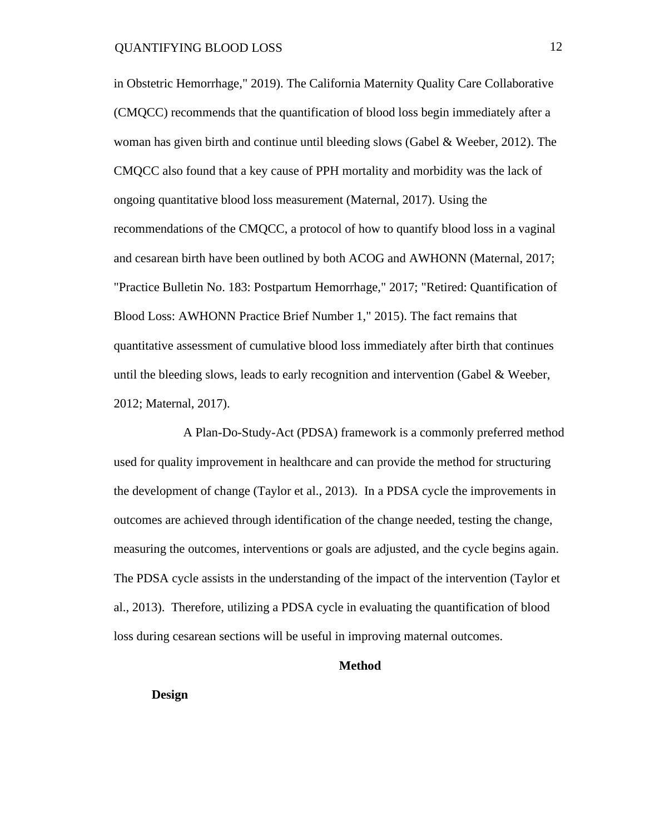in Obstetric Hemorrhage," 2019). The California Maternity Quality Care Collaborative (CMQCC) recommends that the quantification of blood loss begin immediately after a woman has given birth and continue until bleeding slows (Gabel  $\&$  Weeber, 2012). The CMQCC also found that a key cause of PPH mortality and morbidity was the lack of ongoing quantitative blood loss measurement (Maternal, 2017). Using the recommendations of the CMQCC, a protocol of how to quantify blood loss in a vaginal and cesarean birth have been outlined by both ACOG and AWHONN (Maternal, 2017; "Practice Bulletin No. 183: Postpartum Hemorrhage," 2017; "Retired: Quantification of Blood Loss: AWHONN Practice Brief Number 1," 2015). The fact remains that quantitative assessment of cumulative blood loss immediately after birth that continues until the bleeding slows, leads to early recognition and intervention (Gabel & Weeber, 2012; Maternal, 2017).

 A Plan-Do-Study-Act (PDSA) framework is a commonly preferred method used for quality improvement in healthcare and can provide the method for structuring the development of change (Taylor et al., 2013). In a PDSA cycle the improvements in outcomes are achieved through identification of the change needed, testing the change, measuring the outcomes, interventions or goals are adjusted, and the cycle begins again. The PDSA cycle assists in the understanding of the impact of the intervention (Taylor et al., 2013). Therefore, utilizing a PDSA cycle in evaluating the quantification of blood loss during cesarean sections will be useful in improving maternal outcomes.

#### **Method**

**Design**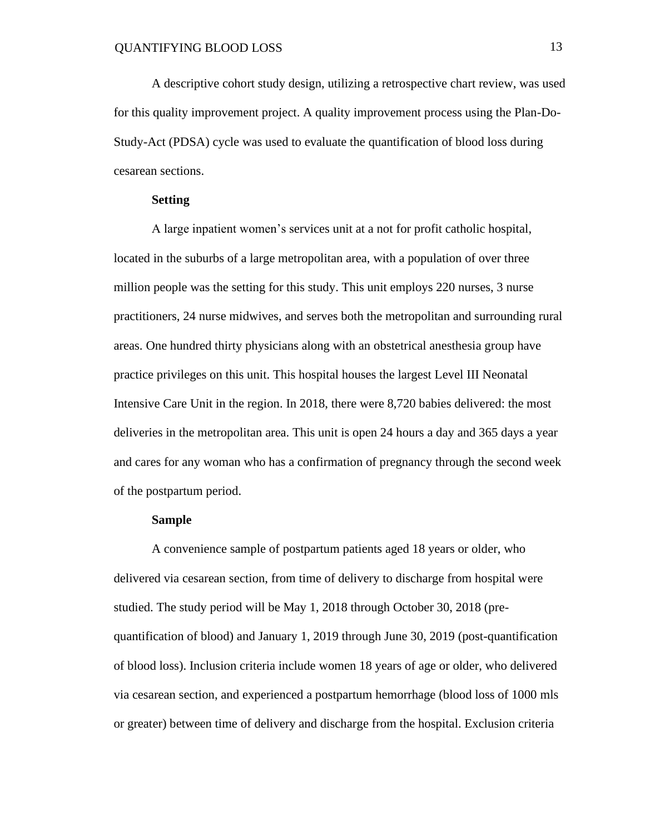A descriptive cohort study design, utilizing a retrospective chart review, was used for this quality improvement project. A quality improvement process using the Plan-Do-Study-Act (PDSA) cycle was used to evaluate the quantification of blood loss during cesarean sections.

#### **Setting**

A large inpatient women's services unit at a not for profit catholic hospital, located in the suburbs of a large metropolitan area, with a population of over three million people was the setting for this study. This unit employs 220 nurses, 3 nurse practitioners, 24 nurse midwives, and serves both the metropolitan and surrounding rural areas. One hundred thirty physicians along with an obstetrical anesthesia group have practice privileges on this unit. This hospital houses the largest Level III Neonatal Intensive Care Unit in the region. In 2018, there were 8,720 babies delivered: the most deliveries in the metropolitan area. This unit is open 24 hours a day and 365 days a year and cares for any woman who has a confirmation of pregnancy through the second week of the postpartum period.

#### **Sample**

A convenience sample of postpartum patients aged 18 years or older, who delivered via cesarean section, from time of delivery to discharge from hospital were studied. The study period will be May 1, 2018 through October 30, 2018 (prequantification of blood) and January 1, 2019 through June 30, 2019 (post-quantification of blood loss). Inclusion criteria include women 18 years of age or older, who delivered via cesarean section, and experienced a postpartum hemorrhage (blood loss of 1000 mls or greater) between time of delivery and discharge from the hospital. Exclusion criteria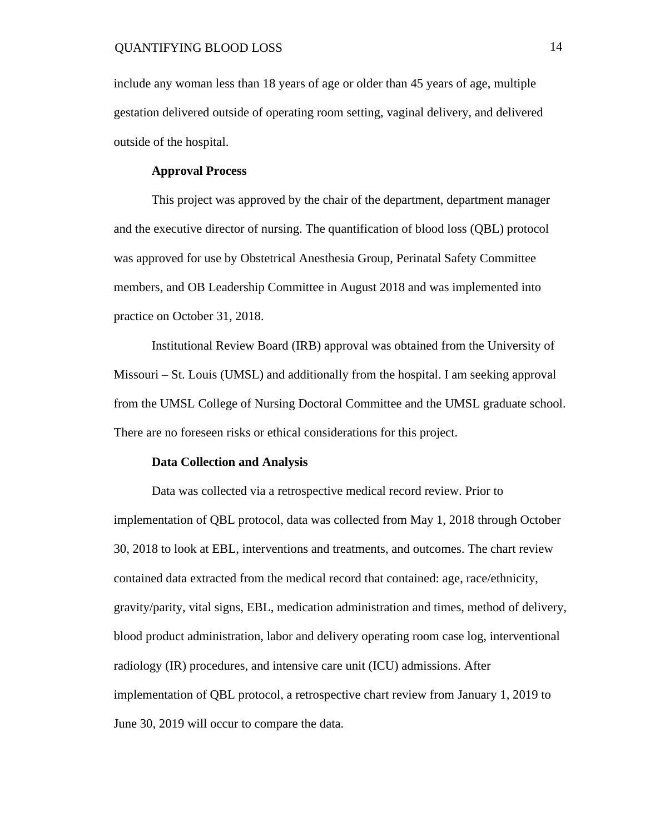include any woman less than 18 years of age or older than 45 years of age, multiple gestation delivered outside of operating room setting, vaginal delivery, and delivered outside of the hospital.

#### **Approval Process**

This project was approved by the chair of the department, department manager and the executive director of nursing. The quantification of blood loss (QBL) protocol was approved for use by Obstetrical Anesthesia Group, Perinatal Safety Committee members, and OB Leadership Committee in August 2018 and was implemented into practice on October 31, 2018.

Institutional Review Board (IRB) approval was obtained from the University of Missouri – St. Louis (UMSL) and additionally from the hospital. I am seeking approval from the UMSL College of Nursing Doctoral Committee and the UMSL graduate school. There are no foreseen risks or ethical considerations for this project.

#### **Data Collection and Analysis**

Data was collected via a retrospective medical record review. Prior to implementation of QBL protocol, data was collected from May 1, 2018 through October 30, 2018 to look at EBL, interventions and treatments, and outcomes. The chart review contained data extracted from the medical record that contained: age, race/ethnicity, gravity/parity, vital signs, EBL, medication administration and times, method of delivery, blood product administration, labor and delivery operating room case log, interventional radiology (IR) procedures, and intensive care unit (ICU) admissions. After implementation of QBL protocol, a retrospective chart review from January 1, 2019 to June 30, 2019 will occur to compare the data.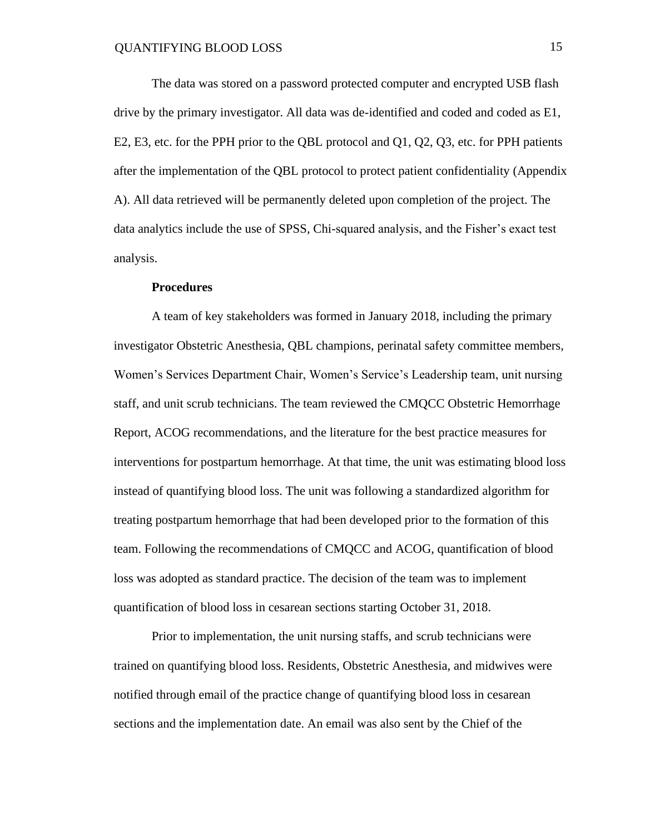The data was stored on a password protected computer and encrypted USB flash drive by the primary investigator. All data was de-identified and coded and coded as E1, E2, E3, etc. for the PPH prior to the QBL protocol and Q1, Q2, Q3, etc. for PPH patients after the implementation of the QBL protocol to protect patient confidentiality (Appendix A). All data retrieved will be permanently deleted upon completion of the project. The data analytics include the use of SPSS, Chi-squared analysis, and the Fisher's exact test analysis.

#### **Procedures**

A team of key stakeholders was formed in January 2018, including the primary investigator Obstetric Anesthesia, QBL champions, perinatal safety committee members, Women's Services Department Chair, Women's Service's Leadership team, unit nursing staff, and unit scrub technicians. The team reviewed the CMQCC Obstetric Hemorrhage Report, ACOG recommendations, and the literature for the best practice measures for interventions for postpartum hemorrhage. At that time, the unit was estimating blood loss instead of quantifying blood loss. The unit was following a standardized algorithm for treating postpartum hemorrhage that had been developed prior to the formation of this team. Following the recommendations of CMQCC and ACOG, quantification of blood loss was adopted as standard practice. The decision of the team was to implement quantification of blood loss in cesarean sections starting October 31, 2018.

Prior to implementation, the unit nursing staffs, and scrub technicians were trained on quantifying blood loss. Residents, Obstetric Anesthesia, and midwives were notified through email of the practice change of quantifying blood loss in cesarean sections and the implementation date. An email was also sent by the Chief of the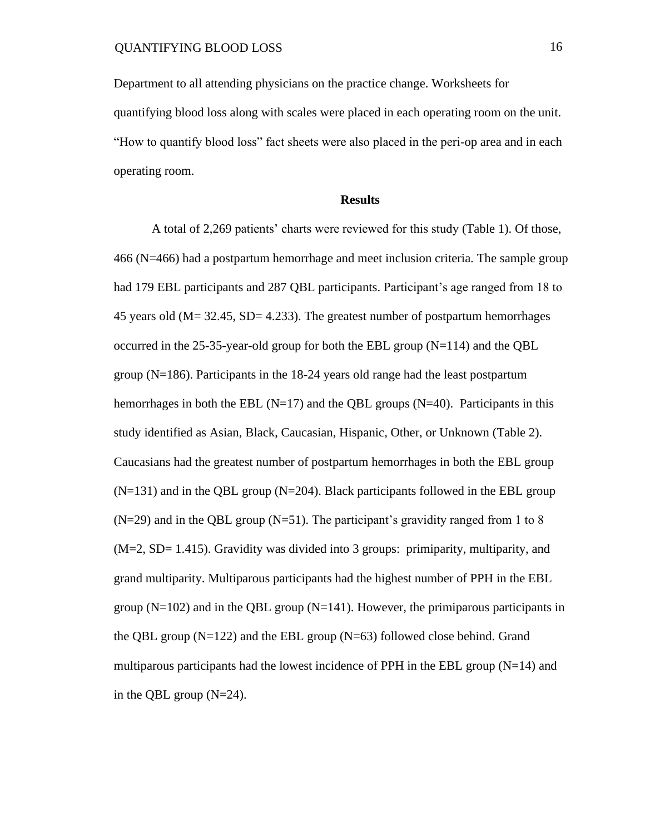Department to all attending physicians on the practice change. Worksheets for quantifying blood loss along with scales were placed in each operating room on the unit. "How to quantify blood loss" fact sheets were also placed in the peri-op area and in each operating room.

#### **Results**

A total of 2,269 patients' charts were reviewed for this study (Table 1). Of those, 466 (N=466) had a postpartum hemorrhage and meet inclusion criteria. The sample group had 179 EBL participants and 287 QBL participants. Participant's age ranged from 18 to 45 years old (M= 32.45, SD= 4.233). The greatest number of postpartum hemorrhages occurred in the 25-35-year-old group for both the EBL group  $(N=114)$  and the QBL group (N=186). Participants in the 18-24 years old range had the least postpartum hemorrhages in both the EBL  $(N=17)$  and the QBL groups  $(N=40)$ . Participants in this study identified as Asian, Black, Caucasian, Hispanic, Other, or Unknown (Table 2). Caucasians had the greatest number of postpartum hemorrhages in both the EBL group  $(N=131)$  and in the QBL group  $(N=204)$ . Black participants followed in the EBL group  $(N=29)$  and in the QBL group  $(N=51)$ . The participant's gravidity ranged from 1 to 8 (M=2, SD= 1.415). Gravidity was divided into 3 groups: primiparity, multiparity, and grand multiparity. Multiparous participants had the highest number of PPH in the EBL group  $(N=102)$  and in the QBL group  $(N=141)$ . However, the primiparous participants in the QBL group  $(N=122)$  and the EBL group  $(N=63)$  followed close behind. Grand multiparous participants had the lowest incidence of PPH in the EBL group  $(N=14)$  and in the QBL group (N=24).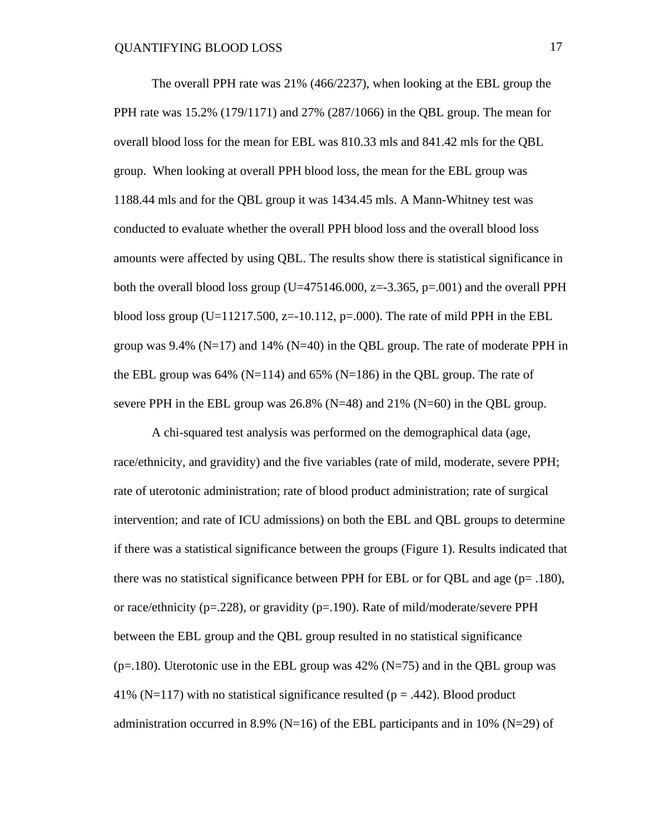The overall PPH rate was 21% (466/2237), when looking at the EBL group the PPH rate was 15.2% (179/1171) and 27% (287/1066) in the QBL group. The mean for overall blood loss for the mean for EBL was 810.33 mls and 841.42 mls for the QBL group. When looking at overall PPH blood loss, the mean for the EBL group was 1188.44 mls and for the QBL group it was 1434.45 mls. A Mann-Whitney test was conducted to evaluate whether the overall PPH blood loss and the overall blood loss amounts were affected by using QBL. The results show there is statistical significance in both the overall blood loss group ( $U=475146.000$ ,  $z=-3.365$ ,  $p=.001$ ) and the overall PPH blood loss group (U=11217.500, z=-10.112, p=.000). The rate of mild PPH in the EBL group was  $9.4\%$  (N=17) and  $14\%$  (N=40) in the QBL group. The rate of moderate PPH in the EBL group was 64% (N=114) and 65% (N=186) in the QBL group. The rate of severe PPH in the EBL group was  $26.8\%$  (N=48) and  $21\%$  (N=60) in the QBL group.

A chi-squared test analysis was performed on the demographical data (age, race/ethnicity, and gravidity) and the five variables (rate of mild, moderate, severe PPH; rate of uterotonic administration; rate of blood product administration; rate of surgical intervention; and rate of ICU admissions) on both the EBL and QBL groups to determine if there was a statistical significance between the groups (Figure 1). Results indicated that there was no statistical significance between PPH for EBL or for QBL and age (p= .180), or race/ethnicity ( $p = 228$ ), or gravidity ( $p = 190$ ). Rate of mild/moderate/severe PPH between the EBL group and the QBL group resulted in no statistical significance ( $p=180$ ). Uterotonic use in the EBL group was 42% ( $N=75$ ) and in the QBL group was 41% (N=117) with no statistical significance resulted ( $p = .442$ ). Blood product administration occurred in 8.9% (N=16) of the EBL participants and in 10% (N=29) of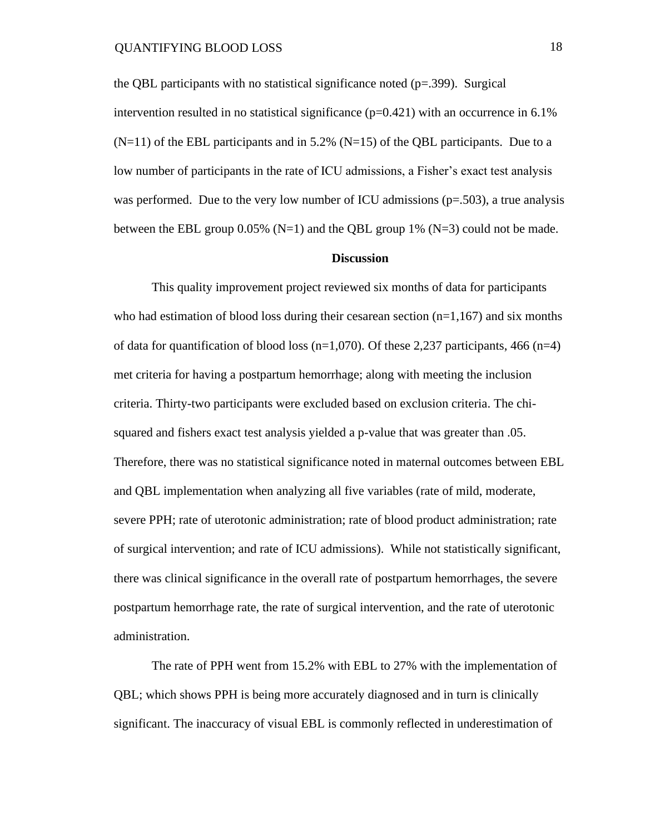the QBL participants with no statistical significance noted  $(p=0.399)$ . Surgical intervention resulted in no statistical significance  $(p=0.421)$  with an occurrence in 6.1%  $(N=11)$  of the EBL participants and in 5.2%  $(N=15)$  of the QBL participants. Due to a low number of participants in the rate of ICU admissions, a Fisher's exact test analysis was performed. Due to the very low number of ICU admissions  $(p=.503)$ , a true analysis between the EBL group  $0.05\%$  (N=1) and the OBL group 1% (N=3) could not be made.

#### **Discussion**

This quality improvement project reviewed six months of data for participants who had estimation of blood loss during their cesarean section  $(n=1,167)$  and six months of data for quantification of blood loss ( $n=1,070$ ). Of these 2,237 participants, 466 ( $n=4$ ) met criteria for having a postpartum hemorrhage; along with meeting the inclusion criteria. Thirty-two participants were excluded based on exclusion criteria. The chisquared and fishers exact test analysis yielded a p-value that was greater than .05. Therefore, there was no statistical significance noted in maternal outcomes between EBL and QBL implementation when analyzing all five variables (rate of mild, moderate, severe PPH; rate of uterotonic administration; rate of blood product administration; rate of surgical intervention; and rate of ICU admissions). While not statistically significant, there was clinical significance in the overall rate of postpartum hemorrhages, the severe postpartum hemorrhage rate, the rate of surgical intervention, and the rate of uterotonic administration.

The rate of PPH went from 15.2% with EBL to 27% with the implementation of QBL; which shows PPH is being more accurately diagnosed and in turn is clinically significant. The inaccuracy of visual EBL is commonly reflected in underestimation of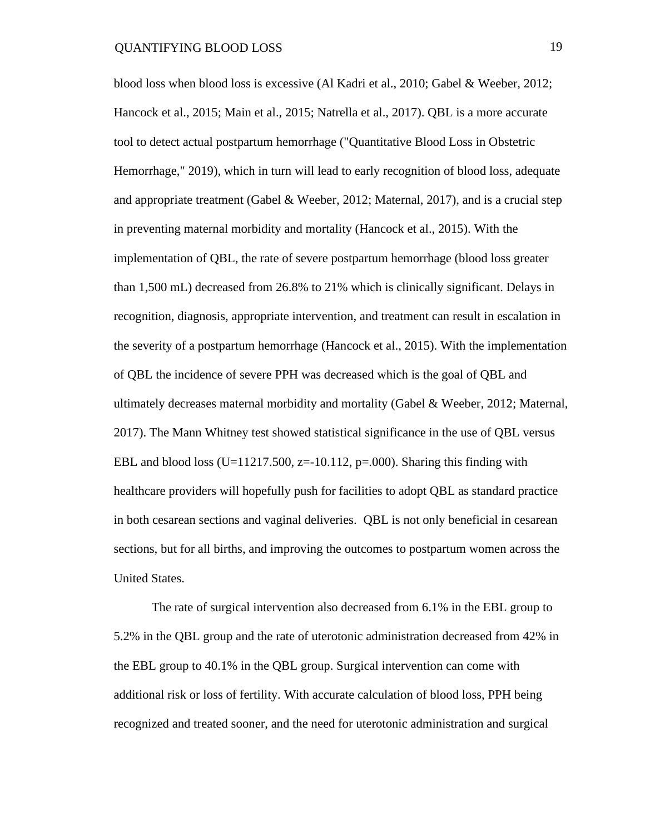blood loss when blood loss is excessive (Al Kadri et al., 2010; Gabel & Weeber, 2012; Hancock et al., 2015; Main et al., 2015; Natrella et al., 2017). QBL is a more accurate tool to detect actual postpartum hemorrhage ("Quantitative Blood Loss in Obstetric Hemorrhage," 2019), which in turn will lead to early recognition of blood loss, adequate and appropriate treatment (Gabel & Weeber, 2012; Maternal, 2017), and is a crucial step in preventing maternal morbidity and mortality (Hancock et al., 2015). With the implementation of QBL, the rate of severe postpartum hemorrhage (blood loss greater than 1,500 mL) decreased from 26.8% to 21% which is clinically significant. Delays in recognition, diagnosis, appropriate intervention, and treatment can result in escalation in the severity of a postpartum hemorrhage (Hancock et al., 2015). With the implementation of QBL the incidence of severe PPH was decreased which is the goal of QBL and ultimately decreases maternal morbidity and mortality (Gabel & Weeber, 2012; Maternal, 2017). The Mann Whitney test showed statistical significance in the use of QBL versus EBL and blood loss (U=11217.500, z=-10.112,  $p=0.000$ ). Sharing this finding with healthcare providers will hopefully push for facilities to adopt QBL as standard practice in both cesarean sections and vaginal deliveries. QBL is not only beneficial in cesarean sections, but for all births, and improving the outcomes to postpartum women across the United States.

The rate of surgical intervention also decreased from 6.1% in the EBL group to 5.2% in the QBL group and the rate of uterotonic administration decreased from 42% in the EBL group to 40.1% in the QBL group. Surgical intervention can come with additional risk or loss of fertility. With accurate calculation of blood loss, PPH being recognized and treated sooner, and the need for uterotonic administration and surgical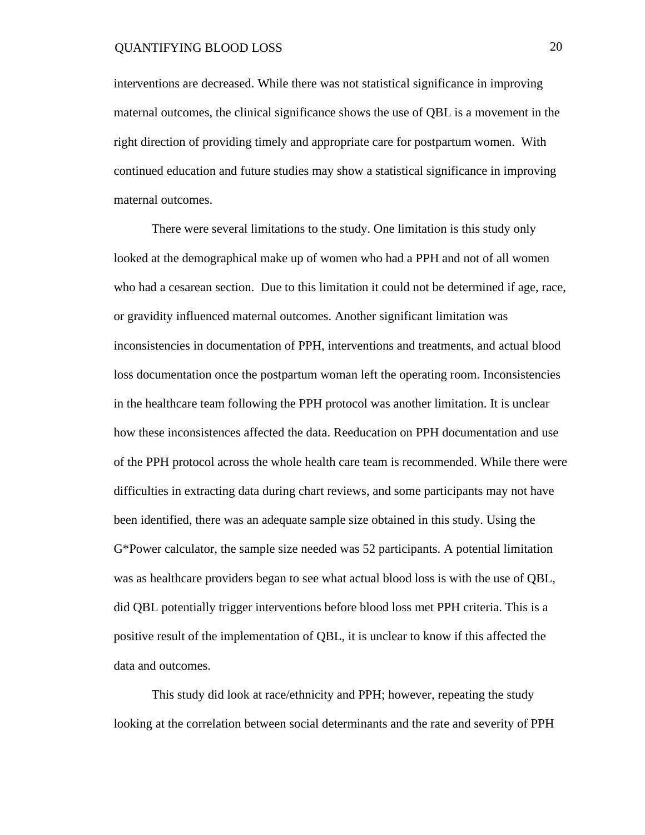interventions are decreased. While there was not statistical significance in improving maternal outcomes, the clinical significance shows the use of QBL is a movement in the right direction of providing timely and appropriate care for postpartum women. With continued education and future studies may show a statistical significance in improving maternal outcomes.

There were several limitations to the study. One limitation is this study only looked at the demographical make up of women who had a PPH and not of all women who had a cesarean section. Due to this limitation it could not be determined if age, race, or gravidity influenced maternal outcomes. Another significant limitation was inconsistencies in documentation of PPH, interventions and treatments, and actual blood loss documentation once the postpartum woman left the operating room. Inconsistencies in the healthcare team following the PPH protocol was another limitation. It is unclear how these inconsistences affected the data. Reeducation on PPH documentation and use of the PPH protocol across the whole health care team is recommended. While there were difficulties in extracting data during chart reviews, and some participants may not have been identified, there was an adequate sample size obtained in this study. Using the G\*Power calculator, the sample size needed was 52 participants. A potential limitation was as healthcare providers began to see what actual blood loss is with the use of QBL, did QBL potentially trigger interventions before blood loss met PPH criteria. This is a positive result of the implementation of QBL, it is unclear to know if this affected the data and outcomes.

This study did look at race/ethnicity and PPH; however, repeating the study looking at the correlation between social determinants and the rate and severity of PPH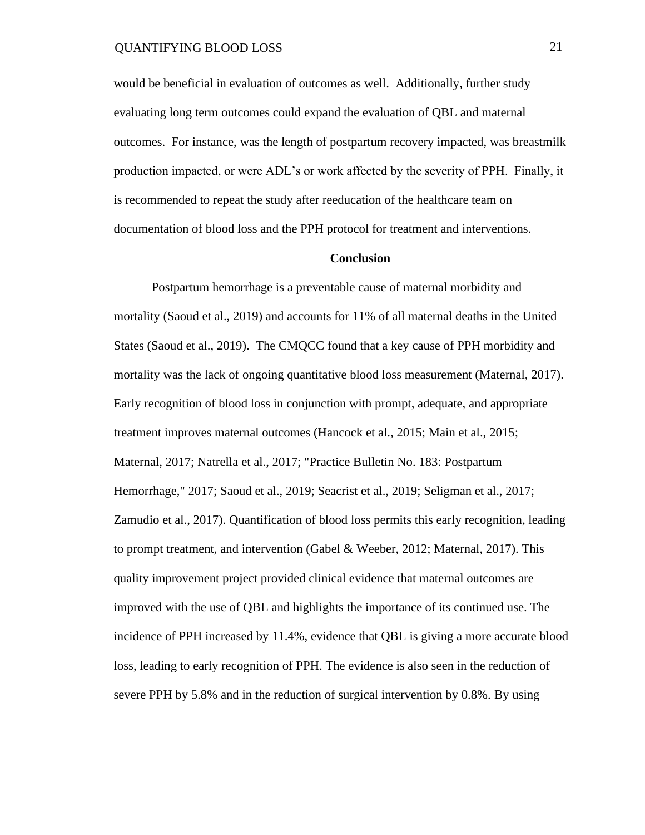would be beneficial in evaluation of outcomes as well. Additionally, further study evaluating long term outcomes could expand the evaluation of QBL and maternal outcomes. For instance, was the length of postpartum recovery impacted, was breastmilk production impacted, or were ADL's or work affected by the severity of PPH. Finally, it is recommended to repeat the study after reeducation of the healthcare team on documentation of blood loss and the PPH protocol for treatment and interventions.

#### **Conclusion**

Postpartum hemorrhage is a preventable cause of maternal morbidity and mortality (Saoud et al., 2019) and accounts for 11% of all maternal deaths in the United States (Saoud et al., 2019). The CMQCC found that a key cause of PPH morbidity and mortality was the lack of ongoing quantitative blood loss measurement (Maternal, 2017). Early recognition of blood loss in conjunction with prompt, adequate, and appropriate treatment improves maternal outcomes (Hancock et al., 2015; Main et al., 2015; Maternal, 2017; Natrella et al., 2017; "Practice Bulletin No. 183: Postpartum Hemorrhage," 2017; Saoud et al., 2019; Seacrist et al., 2019; Seligman et al., 2017; Zamudio et al., 2017). Quantification of blood loss permits this early recognition, leading to prompt treatment, and intervention (Gabel & Weeber, 2012; Maternal, 2017). This quality improvement project provided clinical evidence that maternal outcomes are improved with the use of QBL and highlights the importance of its continued use. The incidence of PPH increased by 11.4%, evidence that QBL is giving a more accurate blood loss, leading to early recognition of PPH. The evidence is also seen in the reduction of severe PPH by 5.8% and in the reduction of surgical intervention by 0.8%. By using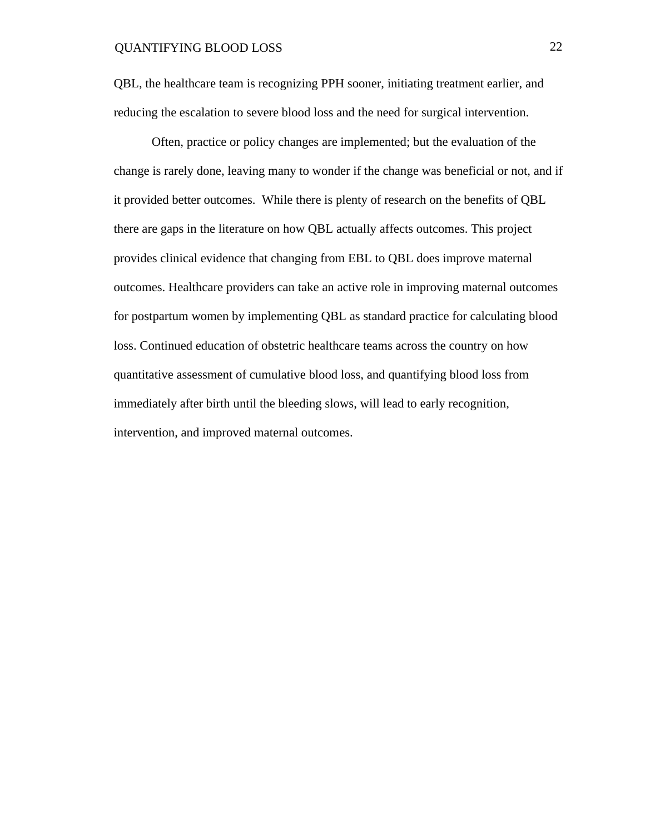QBL, the healthcare team is recognizing PPH sooner, initiating treatment earlier, and reducing the escalation to severe blood loss and the need for surgical intervention.

Often, practice or policy changes are implemented; but the evaluation of the change is rarely done, leaving many to wonder if the change was beneficial or not, and if it provided better outcomes. While there is plenty of research on the benefits of QBL there are gaps in the literature on how QBL actually affects outcomes. This project provides clinical evidence that changing from EBL to QBL does improve maternal outcomes. Healthcare providers can take an active role in improving maternal outcomes for postpartum women by implementing QBL as standard practice for calculating blood loss. Continued education of obstetric healthcare teams across the country on how quantitative assessment of cumulative blood loss, and quantifying blood loss from immediately after birth until the bleeding slows, will lead to early recognition, intervention, and improved maternal outcomes.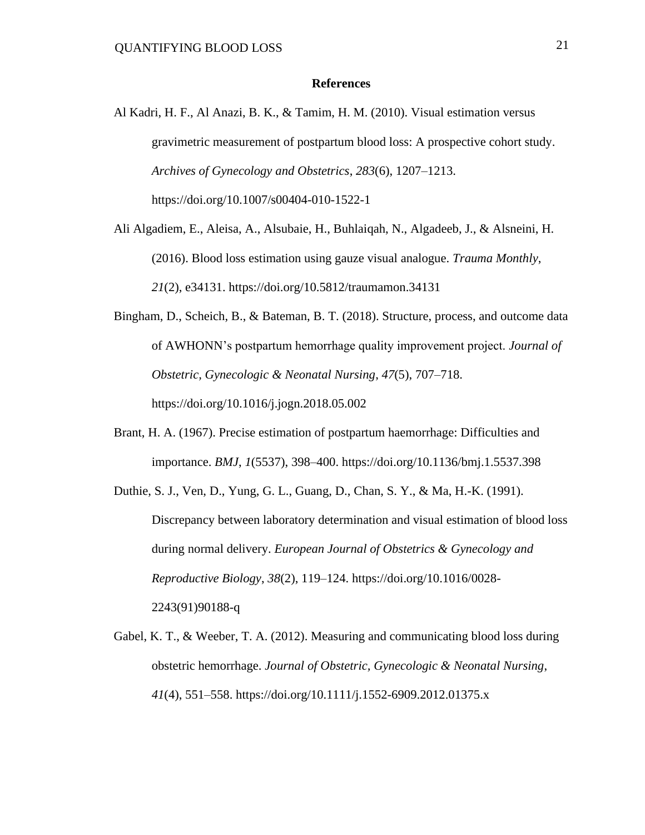#### **References**

- Al Kadri, H. F., Al Anazi, B. K., & Tamim, H. M. (2010). Visual estimation versus gravimetric measurement of postpartum blood loss: A prospective cohort study. *Archives of Gynecology and Obstetrics*, *283*(6), 1207–1213. [https://doi.org/10.1007/s00404-010-1522-1](about:blank)
- Ali Algadiem, E., Aleisa, A., Alsubaie, H., Buhlaiqah, N., Algadeeb, J., & Alsneini, H. (2016). Blood loss estimation using gauze visual analogue. *Trauma Monthly*, *21*(2), e34131. [https://doi.org/10.5812/traumamon.34131](about:blank)
- Bingham, D., Scheich, B., & Bateman, B. T. (2018). Structure, process, and outcome data of AWHONN's postpartum hemorrhage quality improvement project. *Journal of Obstetric, Gynecologic & Neonatal Nursing*, *47*(5), 707–718. [https://doi.org/10.1016/j.jogn.2018.05.002](about:blank)
- Brant, H. A. (1967). Precise estimation of postpartum haemorrhage: Difficulties and importance. *BMJ*, *1*(5537), 398–400. [https://doi.org/10.1136/bmj.1.5537.398](about:blank)
- Duthie, S. J., Ven, D., Yung, G. L., Guang, D., Chan, S. Y., & Ma, H.-K. (1991). Discrepancy between laboratory determination and visual estimation of blood loss during normal delivery. *European Journal of Obstetrics & Gynecology and Reproductive Biology*, *38*(2), 119–124. [https://doi.org/10.1016/0028-](about:blank) [2243\(91\)90188-q](about:blank)
- Gabel, K. T., & Weeber, T. A. (2012). Measuring and communicating blood loss during obstetric hemorrhage. *Journal of Obstetric, Gynecologic & Neonatal Nursing*, *41*(4), 551–558. [https://doi.org/10.1111/j.1552-6909.2012.01375.x](about:blank)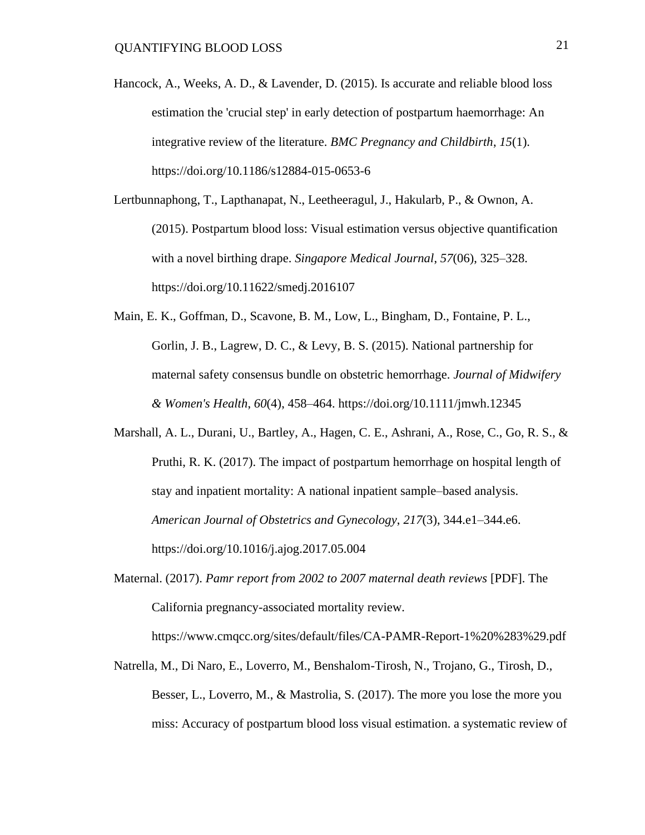- Hancock, A., Weeks, A. D., & Lavender, D. (2015). Is accurate and reliable blood loss estimation the 'crucial step' in early detection of postpartum haemorrhage: An integrative review of the literature. *BMC Pregnancy and Childbirth*, *15*(1). [https://doi.org/10.1186/s12884-015-0653-6](about:blank)
- Lertbunnaphong, T., Lapthanapat, N., Leetheeragul, J., Hakularb, P., & Ownon, A. (2015). Postpartum blood loss: Visual estimation versus objective quantification with a novel birthing drape. *Singapore Medical Journal*, *57*(06), 325–328. [https://doi.org/10.11622/smedj.2016107](about:blank)
- Main, E. K., Goffman, D., Scavone, B. M., Low, L., Bingham, D., Fontaine, P. L., Gorlin, J. B., Lagrew, D. C., & Levy, B. S. (2015). National partnership for maternal safety consensus bundle on obstetric hemorrhage. *Journal of Midwifery & Women's Health*, *60*(4), 458–464. [https://doi.org/10.1111/jmwh.12345](about:blank)
- Marshall, A. L., Durani, U., Bartley, A., Hagen, C. E., Ashrani, A., Rose, C., Go, R. S., & Pruthi, R. K. (2017). The impact of postpartum hemorrhage on hospital length of stay and inpatient mortality: A national inpatient sample–based analysis. *American Journal of Obstetrics and Gynecology*, *217*(3), 344.e1–344.e6. [https://doi.org/10.1016/j.ajog.2017.05.004](about:blank)
- Maternal. (2017). *Pamr report from 2002 to 2007 maternal death reviews* [PDF]. The California pregnancy-associated mortality review.

[https://www.cmqcc.org/sites/default/files/CA-PAMR-Report-1%20%283%29.pdf](about:blank)

Natrella, M., Di Naro, E., Loverro, M., Benshalom-Tirosh, N., Trojano, G., Tirosh, D., Besser, L., Loverro, M., & Mastrolia, S. (2017). The more you lose the more you miss: Accuracy of postpartum blood loss visual estimation. a systematic review of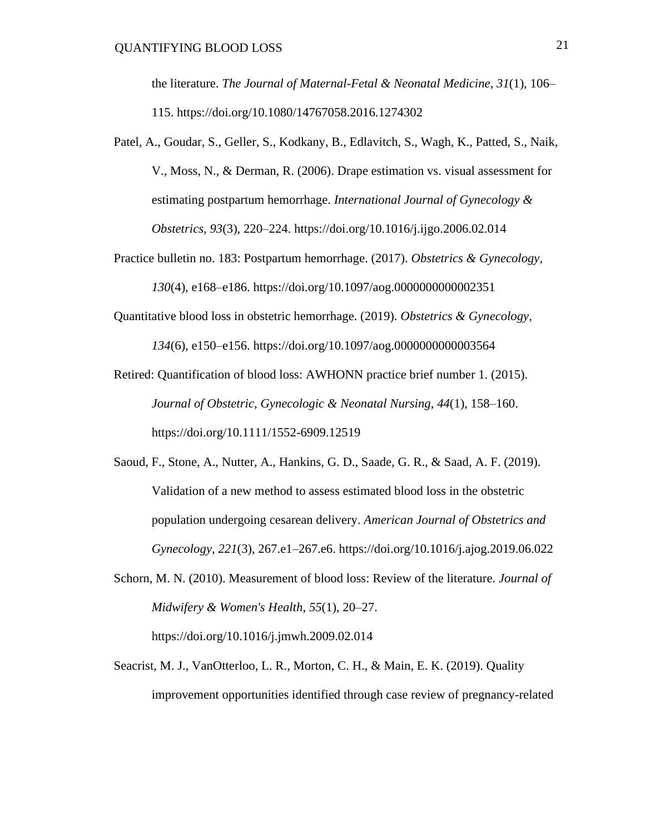the literature. *The Journal of Maternal-Fetal & Neonatal Medicine*, *31*(1), 106– 115. [https://doi.org/10.1080/14767058.2016.1274302](about:blank)

- Patel, A., Goudar, S., Geller, S., Kodkany, B., Edlavitch, S., Wagh, K., Patted, S., Naik, V., Moss, N., & Derman, R. (2006). Drape estimation vs. visual assessment for estimating postpartum hemorrhage. *International Journal of Gynecology & Obstetrics*, *93*(3), 220–224. [https://doi.org/10.1016/j.ijgo.2006.02.014](about:blank)
- Practice bulletin no. 183: Postpartum hemorrhage. (2017). *Obstetrics & Gynecology*, *130*(4), e168–e186. [https://doi.org/10.1097/aog.0000000000002351](about:blank)
- Quantitative blood loss in obstetric hemorrhage. (2019). *Obstetrics & Gynecology*,

*134*(6), e150–e156. [https://doi.org/10.1097/aog.0000000000003564](about:blank)

- Retired: Quantification of blood loss: AWHONN practice brief number 1. (2015). *Journal of Obstetric, Gynecologic & Neonatal Nursing*, *44*(1), 158–160. [https://doi.org/10.1111/1552-6909.12519](about:blank)
- Saoud, F., Stone, A., Nutter, A., Hankins, G. D., Saade, G. R., & Saad, A. F. (2019). Validation of a new method to assess estimated blood loss in the obstetric population undergoing cesarean delivery. *American Journal of Obstetrics and Gynecology*, *221*(3), 267.e1–267.e6. [https://doi.org/10.1016/j.ajog.2019.06.022](about:blank)
- Schorn, M. N. (2010). Measurement of blood loss: Review of the literature. *Journal of Midwifery & Women's Health*, *55*(1), 20–27. [https://doi.org/10.1016/j.jmwh.2009.02.014](about:blank)
- Seacrist, M. J., VanOtterloo, L. R., Morton, C. H., & Main, E. K. (2019). Quality improvement opportunities identified through case review of pregnancy-related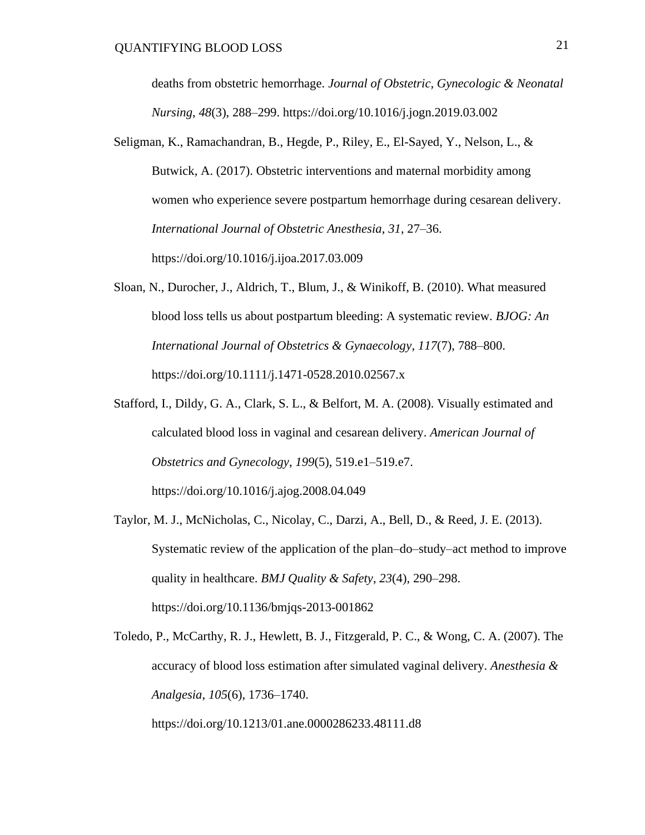deaths from obstetric hemorrhage. *Journal of Obstetric, Gynecologic & Neonatal Nursing*, *48*(3), 288–299. [https://doi.org/10.1016/j.jogn.2019.03.002](about:blank)

- Seligman, K., Ramachandran, B., Hegde, P., Riley, E., El-Sayed, Y., Nelson, L., & Butwick, A. (2017). Obstetric interventions and maternal morbidity among women who experience severe postpartum hemorrhage during cesarean delivery. *International Journal of Obstetric Anesthesia*, *31*, 27–36. [https://doi.org/10.1016/j.ijoa.2017.03.009](about:blank)
- Sloan, N., Durocher, J., Aldrich, T., Blum, J., & Winikoff, B. (2010). What measured blood loss tells us about postpartum bleeding: A systematic review. *BJOG: An International Journal of Obstetrics & Gynaecology*, *117*(7), 788–800. [https://doi.org/10.1111/j.1471-0528.2010.02567.x](about:blank)
- Stafford, I., Dildy, G. A., Clark, S. L., & Belfort, M. A. (2008). Visually estimated and calculated blood loss in vaginal and cesarean delivery. *American Journal of Obstetrics and Gynecology*, *199*(5), 519.e1–519.e7. [https://doi.org/10.1016/j.ajog.2008.04.049](about:blank)
- Taylor, M. J., McNicholas, C., Nicolay, C., Darzi, A., Bell, D., & Reed, J. E. (2013). Systematic review of the application of the plan–do–study–act method to improve quality in healthcare. *BMJ Quality & Safety*, *23*(4), 290–298. [https://doi.org/10.1136/bmjqs-2013-001862](about:blank)
- Toledo, P., McCarthy, R. J., Hewlett, B. J., Fitzgerald, P. C., & Wong, C. A. (2007). The accuracy of blood loss estimation after simulated vaginal delivery. *Anesthesia & Analgesia*, *105*(6), 1736–1740.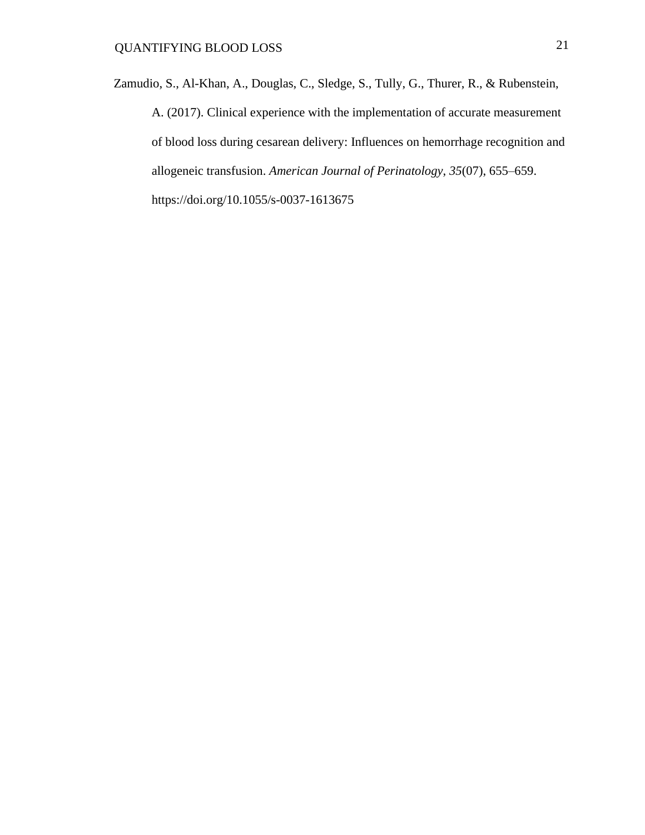Zamudio, S., Al-Khan, A., Douglas, C., Sledge, S., Tully, G., Thurer, R., & Rubenstein, A. (2017). Clinical experience with the implementation of accurate measurement of blood loss during cesarean delivery: Influences on hemorrhage recognition and allogeneic transfusion. *American Journal of Perinatology*, *35*(07), 655–659. [https://doi.org/10.1055/s-0037-1613675](about:blank)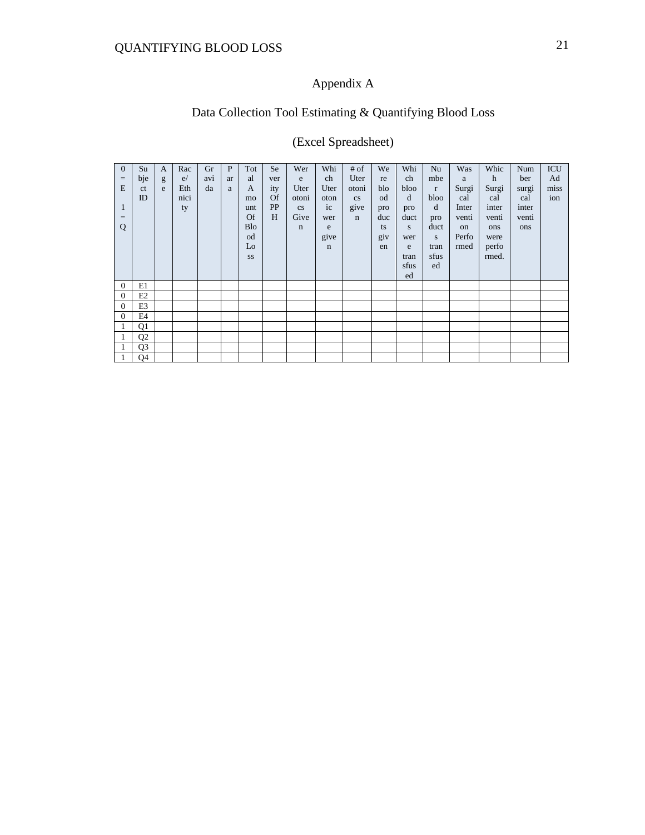## Appendix A

## Data Collection Tool Estimating & Quantifying Blood Loss

## (Excel Spreadsheet)

| $\overline{0}$ | Su             | $\mathbf{A}$ | Rac  | Gr  | P  | Tot            | Se        | Wer         | Whi         | # of        | We  | Whi  | Nu           | Was   | Whic        | Num   | <b>ICU</b> |
|----------------|----------------|--------------|------|-----|----|----------------|-----------|-------------|-------------|-------------|-----|------|--------------|-------|-------------|-------|------------|
| $=$            | bje            | g            | e/   | avi | ar | al             | ver       | e           | ch          | Uter        | re  | ch   | mbe          | a     | $\mathbf h$ | ber   | Ad         |
| E              | <sub>ct</sub>  | e            | Eth  | da  | a  | $\overline{A}$ | ity       | Uter        | Uter        | otoni       | blo | bloo | $\mathbf{r}$ | Surgi | Surgi       | surgi | miss       |
|                | ID             |              | nici |     |    | mo             | <b>Of</b> | otoni       | oton        | cs          | od  | d    | bloo         | cal   | cal         | cal   | ion        |
| $\bf{1}$       |                |              | ty   |     |    | unt            | PP        | cs          | ic          | give        | pro | pro  | d            | Inter | inter       | inter |            |
| $=$            |                |              |      |     |    | <b>Of</b>      | H         | Give        | wer         | $\mathbf n$ | duc | duct | pro          | venti | venti       | venti |            |
| Q              |                |              |      |     |    | <b>Blo</b>     |           | $\mathbf n$ | e           |             | ts  | S    | duct         | on    | ons         | ons   |            |
|                |                |              |      |     |    | od             |           |             | give        |             | giv | wer  | S.           | Perfo | were        |       |            |
|                |                |              |      |     |    | Lo             |           |             | $\mathbf n$ |             | en  | e    | tran         | rmed  | perfo       |       |            |
|                |                |              |      |     |    | SS             |           |             |             |             |     | tran | sfus         |       | rmed.       |       |            |
|                |                |              |      |     |    |                |           |             |             |             |     | sfus | ed           |       |             |       |            |
|                |                |              |      |     |    |                |           |             |             |             |     | ed   |              |       |             |       |            |
| $\mathbf{0}$   | E1             |              |      |     |    |                |           |             |             |             |     |      |              |       |             |       |            |
| $\overline{0}$ | E2             |              |      |     |    |                |           |             |             |             |     |      |              |       |             |       |            |
| $\mathbf{0}$   | E3             |              |      |     |    |                |           |             |             |             |     |      |              |       |             |       |            |
| $\mathbf{0}$   | E4             |              |      |     |    |                |           |             |             |             |     |      |              |       |             |       |            |
|                | Q1             |              |      |     |    |                |           |             |             |             |     |      |              |       |             |       |            |
|                | Q <sub>2</sub> |              |      |     |    |                |           |             |             |             |     |      |              |       |             |       |            |
|                | Q <sub>3</sub> |              |      |     |    |                |           |             |             |             |     |      |              |       |             |       |            |
|                | Q4             |              |      |     |    |                |           |             |             |             |     |      |              |       |             |       |            |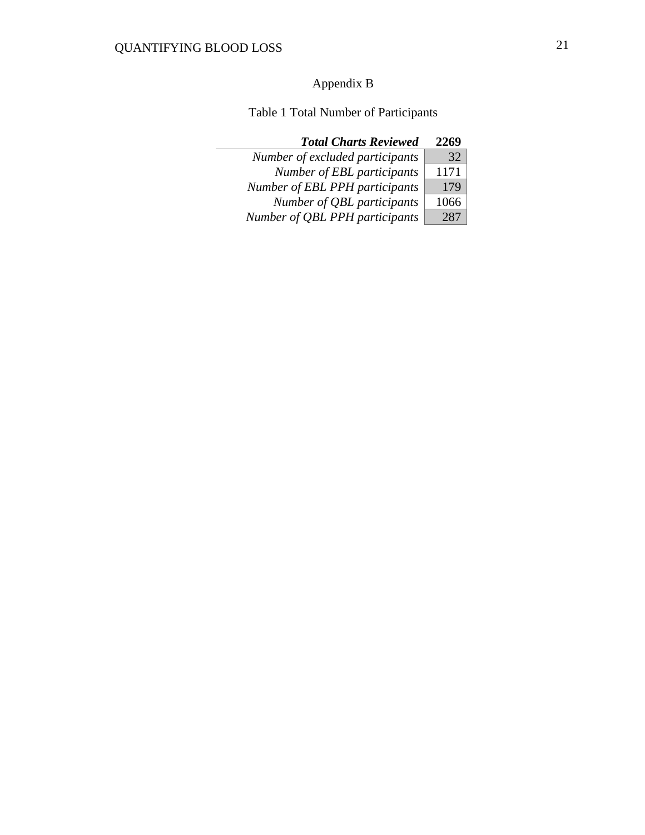## Appendix B

Table 1 Total Number of Participants

## *Total Charts Reviewed* **2269**

| Number of excluded participants | 32   |
|---------------------------------|------|
| Number of EBL participants      | 1171 |
| Number of EBL PPH participants  | 179  |
| Number of QBL participants      | 1066 |
| Number of QBL PPH participants  | 287  |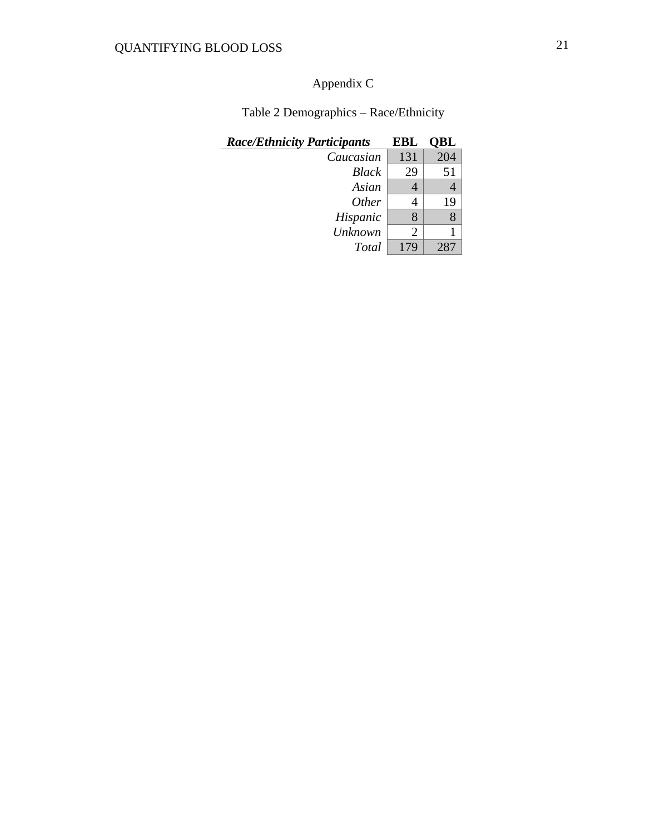## Appendix C

| Table 2 Demographics - Race/Ethnicity |  |
|---------------------------------------|--|
|---------------------------------------|--|

| <b>Race/Ethnicity Participants</b> | EBL | OBL |
|------------------------------------|-----|-----|
| Caucasian                          | 131 | 204 |
| <b>Black</b>                       | 29  | 51  |
| Asian                              |     |     |
| <i>Other</i>                       |     | 19  |
| Hispanic                           | 8   |     |
| <b>Unknown</b>                     | 2   |     |
| Total                              | 179 | 287 |